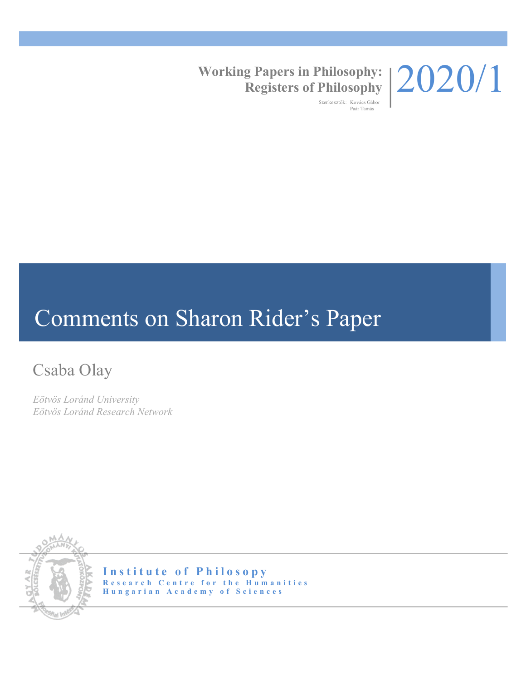

### **Working Papers in Philosophy: Registers of Philosophy**

Szerkesztők: Kovács Gábor Paár Tamás

# Comments on Sharon Rider's Paper

## Csaba Olay

*Eötvös Loránd University Eötvös Loránd Research Network*



**Institute of Philosopy Research Centre for the Humanities Hungarian Academy of Sciences**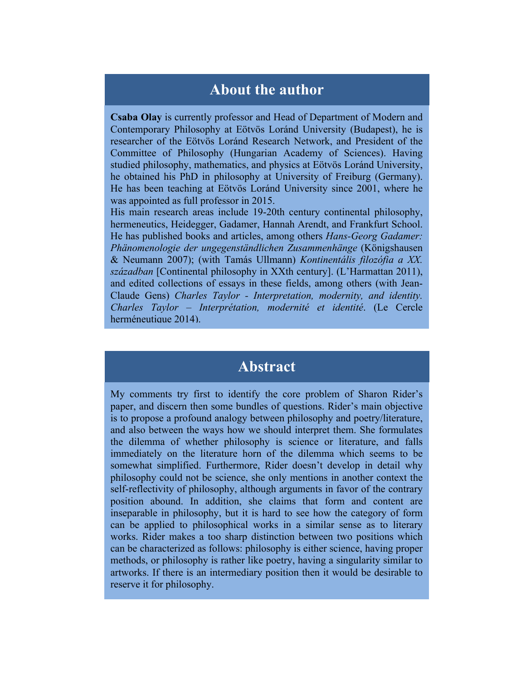#### **About the author**

**Csaba Olay** is currently professor and Head of Department of Modern and Contemporary Philosophy at Eötvös Loránd University (Budapest), he is researcher of the Eötvös Loránd Research Network, and President of the Committee of Philosophy (Hungarian Academy of Sciences). Having studied philosophy, mathematics, and physics at Eötvös Loránd University, he obtained his PhD in philosophy at University of Freiburg (Germany). He has been teaching at Eötvös Loránd University since 2001, where he was appointed as full professor in 2015.

His main research areas include 19-20th century continental philosophy, hermeneutics, Heidegger, Gadamer, Hannah Arendt, and Frankfurt School. He has published books and articles, among others *Hans-Georg Gadamer: Phänomenologie der ungegenständlichen Zusammenhänge* (Königshausen & Neumann 2007); (with Tamás Ullmann) *Kontinentális filozófia a XX. században* [Continental philosophy in XXth century]. (L'Harmattan 2011), and edited collections of essays in these fields, among others (with Jean-Claude Gens) *Charles Taylor - Interpretation, modernity, and identity. Charles Taylor – Interprétation, modernité et identité*. (Le Cercle herméneutique 2014).

#### **Abstract**

My comments try first to identify the core problem of Sharon Rider's paper, and discern then some bundles of questions. Rider's main objective is to propose a profound analogy between philosophy and poetry/literature, and also between the ways how we should interpret them. She formulates the dilemma of whether philosophy is science or literature, and falls immediately on the literature horn of the dilemma which seems to be somewhat simplified. Furthermore, Rider doesn't develop in detail why philosophy could not be science, she only mentions in another context the self-reflectivity of philosophy, although arguments in favor of the contrary position abound. In addition, she claims that form and content are inseparable in philosophy, but it is hard to see how the category of form can be applied to philosophical works in a similar sense as to literary works. Rider makes a too sharp distinction between two positions which can be characterized as follows: philosophy is either science, having proper methods, or philosophy is rather like poetry, having a singularity similar to artworks. If there is an intermediary position then it would be desirable to reserve it for philosophy.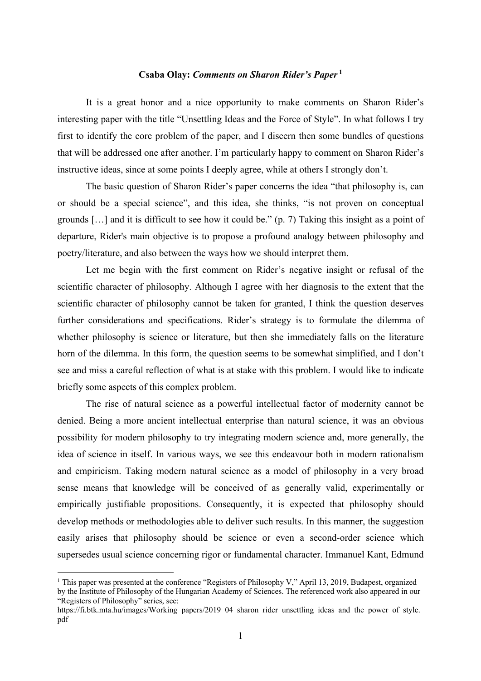#### **Csaba Olay:** *Comments on Sharon Rider's Paper* **<sup>1</sup>**

It is a great honor and a nice opportunity to make comments on Sharon Rider's interesting paper with the title "Unsettling Ideas and the Force of Style". In what follows I try first to identify the core problem of the paper, and I discern then some bundles of questions that will be addressed one after another. I'm particularly happy to comment on Sharon Rider's instructive ideas, since at some points I deeply agree, while at others I strongly don't.

The basic question of Sharon Rider's paper concerns the idea "that philosophy is, can or should be a special science", and this idea, she thinks, "is not proven on conceptual grounds […] and it is difficult to see how it could be." (p. 7) Taking this insight as a point of departure, Rider's main objective is to propose a profound analogy between philosophy and poetry/literature, and also between the ways how we should interpret them.

Let me begin with the first comment on Rider's negative insight or refusal of the scientific character of philosophy. Although I agree with her diagnosis to the extent that the scientific character of philosophy cannot be taken for granted, I think the question deserves further considerations and specifications. Rider's strategy is to formulate the dilemma of whether philosophy is science or literature, but then she immediately falls on the literature horn of the dilemma. In this form, the question seems to be somewhat simplified, and I don't see and miss a careful reflection of what is at stake with this problem. I would like to indicate briefly some aspects of this complex problem.

The rise of natural science as a powerful intellectual factor of modernity cannot be denied. Being a more ancient intellectual enterprise than natural science, it was an obvious possibility for modern philosophy to try integrating modern science and, more generally, the idea of science in itself. In various ways, we see this endeavour both in modern rationalism and empiricism. Taking modern natural science as a model of philosophy in a very broad sense means that knowledge will be conceived of as generally valid, experimentally or empirically justifiable propositions. Consequently, it is expected that philosophy should develop methods or methodologies able to deliver such results. In this manner, the suggestion easily arises that philosophy should be science or even a second-order science which supersedes usual science concerning rigor or fundamental character. Immanuel Kant, Edmund

<sup>&</sup>lt;sup>1</sup> This paper was presented at the conference "Registers of Philosophy V," April 13, 2019, Budapest, organized by the Institute of Philosophy of the Hungarian Academy of Sciences. The referenced work also appeared in our "Registers of Philosophy" series, see:

https://fi.btk.mta.hu/images/Working\_papers/2019\_04\_sharon\_rider\_unsettling\_ideas\_and\_the\_power\_of\_style. pdf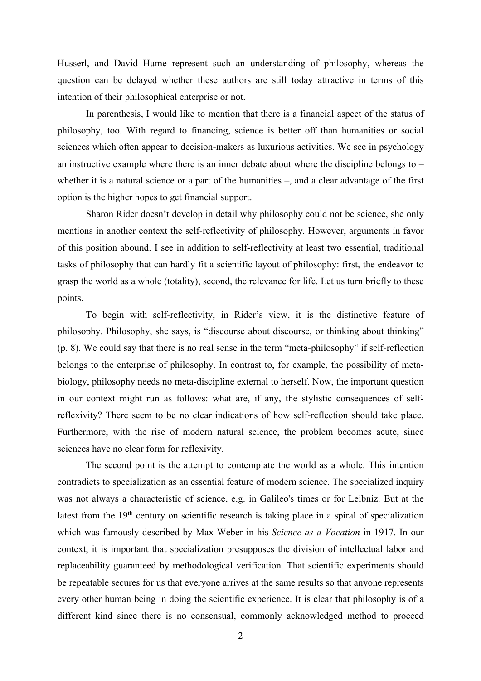Husserl, and David Hume represent such an understanding of philosophy, whereas the question can be delayed whether these authors are still today attractive in terms of this intention of their philosophical enterprise or not.

In parenthesis, I would like to mention that there is a financial aspect of the status of philosophy, too. With regard to financing, science is better off than humanities or social sciences which often appear to decision-makers as luxurious activities. We see in psychology an instructive example where there is an inner debate about where the discipline belongs to – whether it is a natural science or a part of the humanities –, and a clear advantage of the first option is the higher hopes to get financial support.

Sharon Rider doesn't develop in detail why philosophy could not be science, she only mentions in another context the self-reflectivity of philosophy. However, arguments in favor of this position abound. I see in addition to self-reflectivity at least two essential, traditional tasks of philosophy that can hardly fit a scientific layout of philosophy: first, the endeavor to grasp the world as a whole (totality), second, the relevance for life. Let us turn briefly to these points.

To begin with self-reflectivity, in Rider's view, it is the distinctive feature of philosophy. Philosophy, she says, is "discourse about discourse, or thinking about thinking" (p. 8). We could say that there is no real sense in the term "meta-philosophy" if self-reflection belongs to the enterprise of philosophy. In contrast to, for example, the possibility of metabiology, philosophy needs no meta-discipline external to herself. Now, the important question in our context might run as follows: what are, if any, the stylistic consequences of selfreflexivity? There seem to be no clear indications of how self-reflection should take place. Furthermore, with the rise of modern natural science, the problem becomes acute, since sciences have no clear form for reflexivity.

The second point is the attempt to contemplate the world as a whole. This intention contradicts to specialization as an essential feature of modern science. The specialized inquiry was not always a characteristic of science, e.g. in Galileo's times or for Leibniz. But at the latest from the 19<sup>th</sup> century on scientific research is taking place in a spiral of specialization which was famously described by Max Weber in his *Science as a Vocation* in 1917. In our context, it is important that specialization presupposes the division of intellectual labor and replaceability guaranteed by methodological verification. That scientific experiments should be repeatable secures for us that everyone arrives at the same results so that anyone represents every other human being in doing the scientific experience. It is clear that philosophy is of a different kind since there is no consensual, commonly acknowledged method to proceed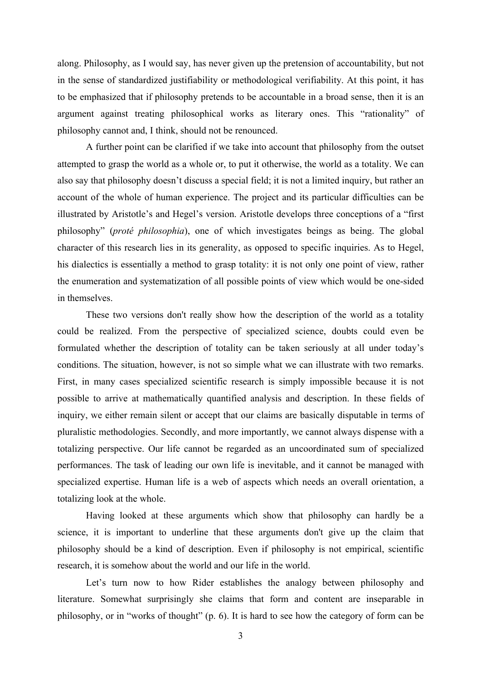along. Philosophy, as I would say, has never given up the pretension of accountability, but not in the sense of standardized justifiability or methodological verifiability. At this point, it has to be emphasized that if philosophy pretends to be accountable in a broad sense, then it is an argument against treating philosophical works as literary ones. This "rationality" of philosophy cannot and, I think, should not be renounced.

A further point can be clarified if we take into account that philosophy from the outset attempted to grasp the world as a whole or, to put it otherwise, the world as a totality. We can also say that philosophy doesn't discuss a special field; it is not a limited inquiry, but rather an account of the whole of human experience. The project and its particular difficulties can be illustrated by Aristotle's and Hegel's version. Aristotle develops three conceptions of a "first philosophy" (*proté philosophia*), one of which investigates beings as being. The global character of this research lies in its generality, as opposed to specific inquiries. As to Hegel, his dialectics is essentially a method to grasp totality: it is not only one point of view, rather the enumeration and systematization of all possible points of view which would be one-sided in themselves.

These two versions don't really show how the description of the world as a totality could be realized. From the perspective of specialized science, doubts could even be formulated whether the description of totality can be taken seriously at all under today's conditions. The situation, however, is not so simple what we can illustrate with two remarks. First, in many cases specialized scientific research is simply impossible because it is not possible to arrive at mathematically quantified analysis and description. In these fields of inquiry, we either remain silent or accept that our claims are basically disputable in terms of pluralistic methodologies. Secondly, and more importantly, we cannot always dispense with a totalizing perspective. Our life cannot be regarded as an uncoordinated sum of specialized performances. The task of leading our own life is inevitable, and it cannot be managed with specialized expertise. Human life is a web of aspects which needs an overall orientation, a totalizing look at the whole.

Having looked at these arguments which show that philosophy can hardly be a science, it is important to underline that these arguments don't give up the claim that philosophy should be a kind of description. Even if philosophy is not empirical, scientific research, it is somehow about the world and our life in the world.

Let's turn now to how Rider establishes the analogy between philosophy and literature. Somewhat surprisingly she claims that form and content are inseparable in philosophy, or in "works of thought" (p. 6). It is hard to see how the category of form can be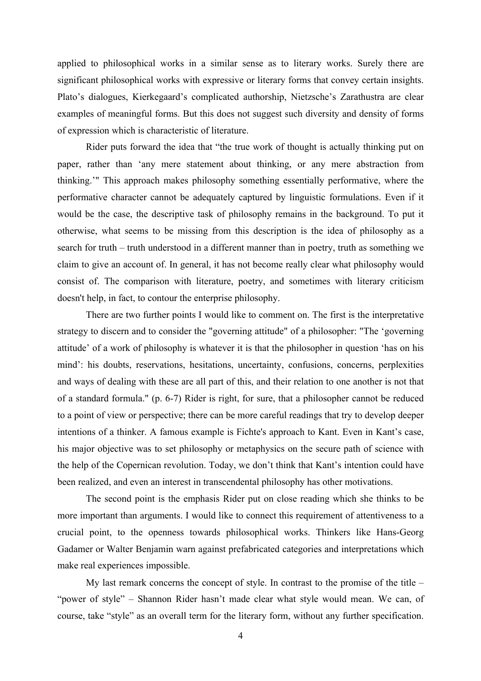applied to philosophical works in a similar sense as to literary works. Surely there are significant philosophical works with expressive or literary forms that convey certain insights. Plato's dialogues, Kierkegaard's complicated authorship, Nietzsche's Zarathustra are clear examples of meaningful forms. But this does not suggest such diversity and density of forms of expression which is characteristic of literature.

Rider puts forward the idea that "the true work of thought is actually thinking put on paper, rather than 'any mere statement about thinking, or any mere abstraction from thinking.'" This approach makes philosophy something essentially performative, where the performative character cannot be adequately captured by linguistic formulations. Even if it would be the case, the descriptive task of philosophy remains in the background. To put it otherwise, what seems to be missing from this description is the idea of philosophy as a search for truth – truth understood in a different manner than in poetry, truth as something we claim to give an account of. In general, it has not become really clear what philosophy would consist of. The comparison with literature, poetry, and sometimes with literary criticism doesn't help, in fact, to contour the enterprise philosophy.

There are two further points I would like to comment on. The first is the interpretative strategy to discern and to consider the "governing attitude" of a philosopher: "The 'governing attitude' of a work of philosophy is whatever it is that the philosopher in question 'has on his mind': his doubts, reservations, hesitations, uncertainty, confusions, concerns, perplexities and ways of dealing with these are all part of this, and their relation to one another is not that of a standard formula." (p. 6-7) Rider is right, for sure, that a philosopher cannot be reduced to a point of view or perspective; there can be more careful readings that try to develop deeper intentions of a thinker. A famous example is Fichte's approach to Kant. Even in Kant's case, his major objective was to set philosophy or metaphysics on the secure path of science with the help of the Copernican revolution. Today, we don't think that Kant's intention could have been realized, and even an interest in transcendental philosophy has other motivations.

The second point is the emphasis Rider put on close reading which she thinks to be more important than arguments. I would like to connect this requirement of attentiveness to a crucial point, to the openness towards philosophical works. Thinkers like Hans-Georg Gadamer or Walter Benjamin warn against prefabricated categories and interpretations which make real experiences impossible.

My last remark concerns the concept of style. In contrast to the promise of the title – "power of style" – Shannon Rider hasn't made clear what style would mean. We can, of course, take "style" as an overall term for the literary form, without any further specification.